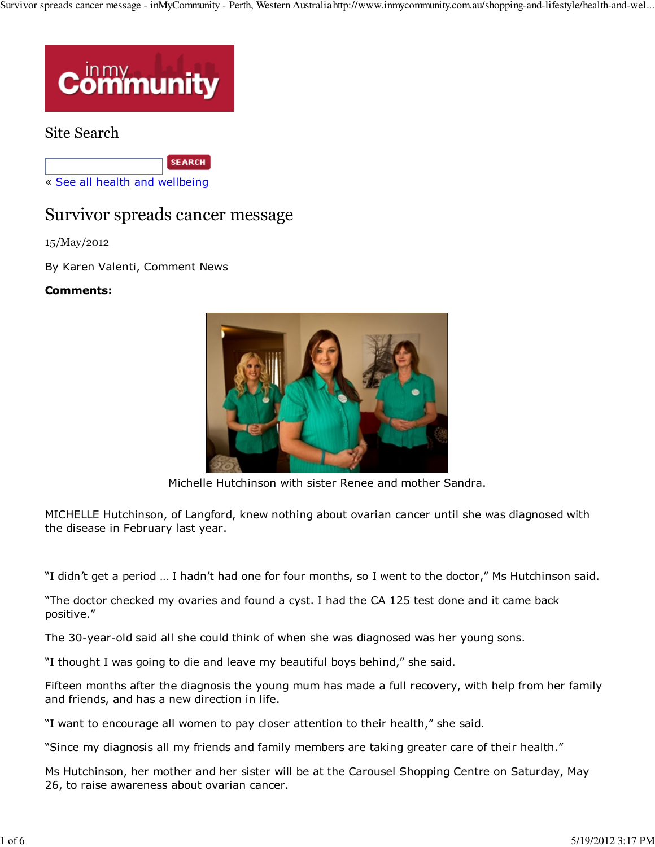

## Site Search

**SEARCH** 

« See all health and wellbeing

# Survivor spreads cancer message

15/May/2012

By Karen Valenti, Comment News

### **Comments:**



Michelle Hutchinson with sister Renee and mother Sandra.

MICHELLE Hutchinson, of Langford, knew nothing about ovarian cancer until she was diagnosed with the disease in February last year.

"I didn't get a period … I hadn't had one for four months, so I went to the doctor," Ms Hutchinson said.

"The doctor checked my ovaries and found a cyst. I had the CA 125 test done and it came back positive."

The 30-year-old said all she could think of when she was diagnosed was her young sons.

"I thought I was going to die and leave my beautiful boys behind," she said.

Fifteen months after the diagnosis the young mum has made a full recovery, with help from her family and friends, and has a new direction in life.

"I want to encourage all women to pay closer attention to their health," she said.

"Since my diagnosis all my friends and family members are taking greater care of their health."

Ms Hutchinson, her mother and her sister will be at the Carousel Shopping Centre on Saturday, May 26, to raise awareness about ovarian cancer.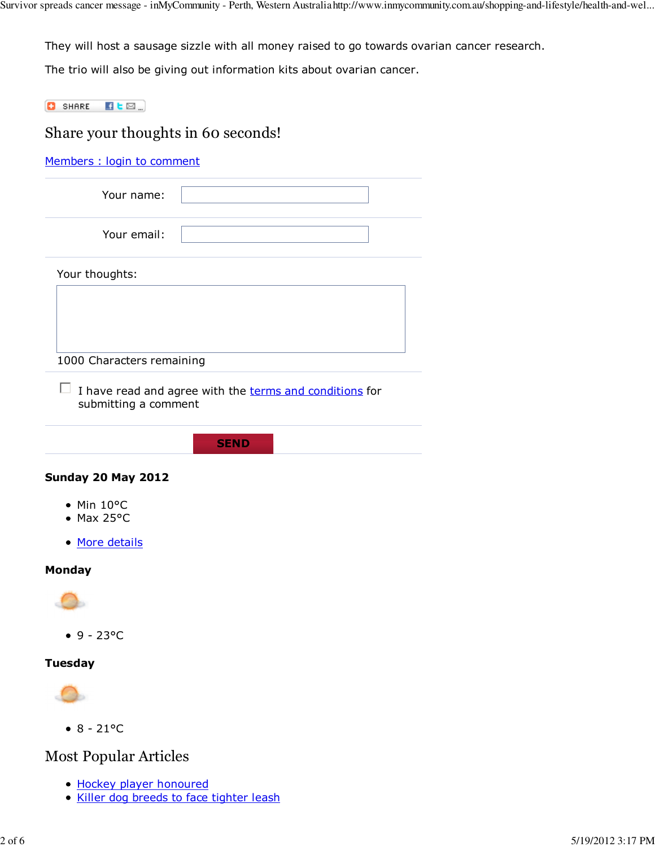They will host a sausage sizzle with all money raised to go towards ovarian cancer research.

The trio will also be giving out information kits about ovarian cancer.

 $\bullet$  SHARE  $\bullet$   $\bullet$   $\text{S}$ .

## Share your thoughts in 60 seconds!

Members : login to comment

| Your name:  |  |
|-------------|--|
| Your email: |  |

Your thoughts:

1000 Characters remaining

- $\Box$  I have read and agree with the terms and conditions for submitting a comment
	- **SEND**

#### **Sunday 20 May 2012**

- Min 10°C
- $•$  Max 25°C
- More details

### **Monday**



 $9 - 23^{\circ}C$ 

#### **Tuesday**



 $• 8 - 21°C$ 

## Most Popular Articles

- Hockey player honoured
- Killer dog breeds to face tighter leash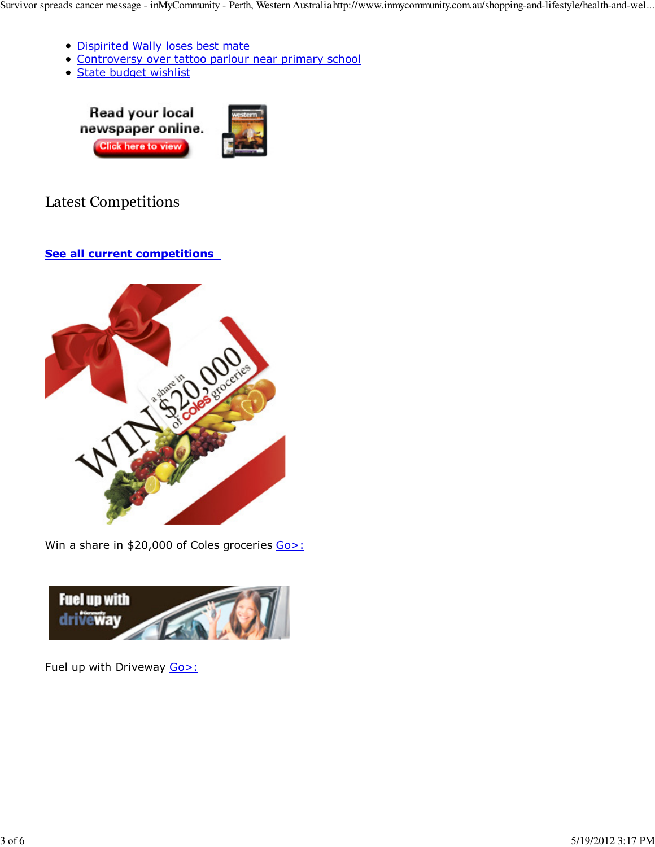- Dispirited Wally loses best mate
- Controversy over tattoo parlour near primary school
- State budget wishlist





# Latest Competitions

## **See all current competitions**



Win a share in \$20,000 of Coles groceries Go>:



Fuel up with Driveway Go>: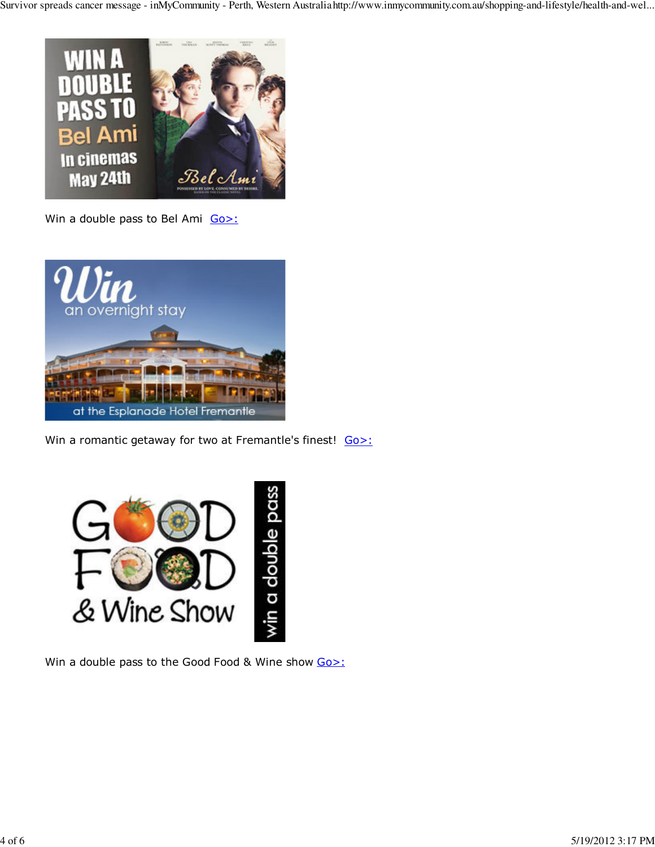

Win a double pass to Bel Ami Go>:



Win a romantic getaway for two at Fremantle's finest! Go>:



Win a double pass to the Good Food & Wine show Go>: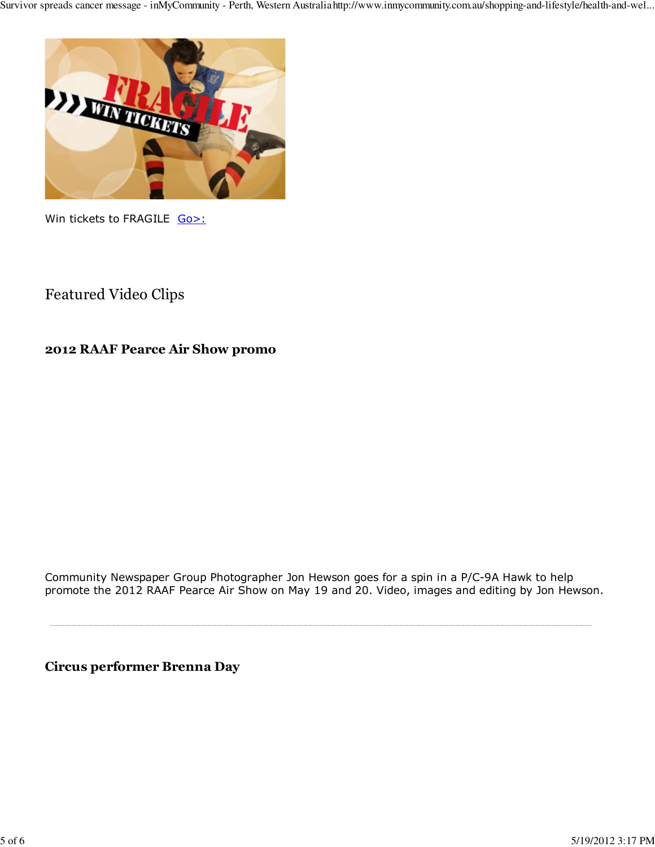

Win tickets to FRAGILE Go>:

## Featured Video Clips

## **2012 RAAF Pearce Air Show promo**

Community Newspaper Group Photographer Jon Hewson goes for a spin in a P/C-9A Hawk to help promote the 2012 RAAF Pearce Air Show on May 19 and 20. Video, images and editing by Jon Hewson.

**Circus performer Brenna Day**